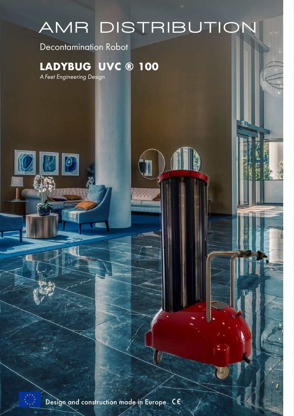# AMR DISTRIBUTION

T

Decontamination Robot

### **LADYBUG UVC ® 100**

*A Feet Engineering Design* 

Design and construction made in Europe CE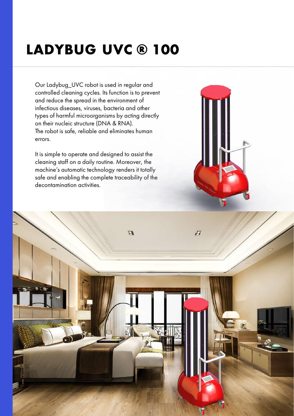## **LADYBUG UVC ® 100**

Our Ladybug\_UVC robot is used in regular and controlled cleaning cycles. Its function is to prevent and reduce the spread in the environment of infectious diseases, viruses, bacteria and other types of harmful microorganisms by acting directly on their nucleic structure (DNA & RNA). The robot is safe, reliable and eliminates human errors.

It is simple to operate and designed to assist the cleaning staff on a daily routine. Moreover, the machine's automatic technology renders it totally safe and enabling the complete traceability of the decontamination activities.



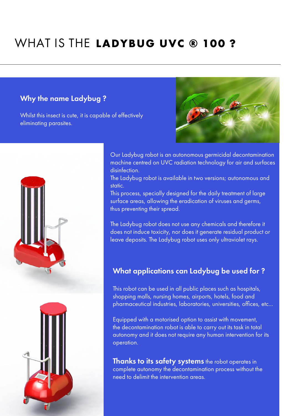### WHAT IS THE **LADYBUG UVC ® 100 ?**

### Why the name Ladybug ?

Whilst this insect is cute, it is capable of effectively eliminating parasites.



Our Ladybug robot is an autonomous germicidal decontamination machine centred on UVC radiation technology for air and surfaces disinfection.

The Ladybug robot is available in two versions; autonomous and static.

This process, specially designed for the daily treatment of large surface areas, allowing the eradication of viruses and germs, thus preventing their spread.

The Ladybug robot does not use any chemicals and therefore it does not induce toxicity, nor does it generate residual product or leave deposits. The Ladybug robot uses only ultraviolet rays.

### What applications can Ladybug be used for ?

This robot can be used in all public places such as hospitals, shopping malls, nursing homes, airports, hotels, food and pharmaceutical industries, laboratories, universities, offices, etc...

Equipped with a motorised option to assist with movement, the decontamination robot is able to carry out its task in total autonomy and it does not require any human intervention for its operation.

Thanks to its safety systems the robot operates in complete autonomy the decontamination process without the need to delimit the intervention areas.



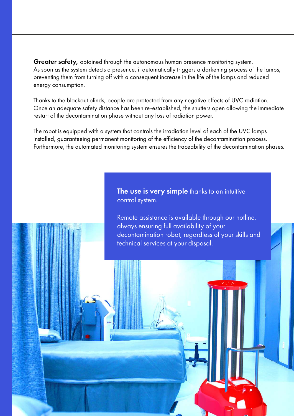Greater safety, obtained through the autonomous human presence monitoring system. As soon as the system detects a presence, it automatically triggers a darkening process of the lamps, preventing them from turning off with a consequent increase in the life of the lamps and reduced energy consumption.

Thanks to the blackout blinds, people are protected from any negative effects of UVC radiation. Once an adequate safety distance has been re-established, the shutters open allowing the immediate restart of the decontamination phase without any loss of radiation power.

The robot is equipped with a system that controls the irradiation level of each of the UVC lamps installed, guaranteeing permanent monitoring of the efficiency of the decontamination process. Furthermore, the automated monitoring system ensures the traceability of the decontamination phases.

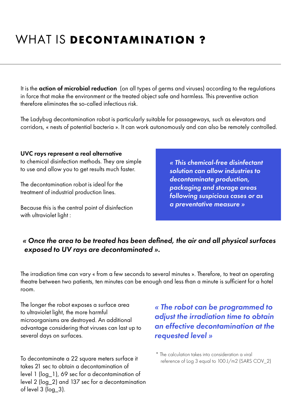### WHAT IS **DECONTAMINATION ?**

It is the action of microbial reduction (on all types of germs and viruses) according to the regulations in force that make the environment or the treated object safe and harmless. This preventive action therefore eliminates the so-called infectious risk.

The Ladybug decontamination robot is particularly suitable for passageways, such as elevators and corridors, « nests of potential bacteria ». It can work autonomously and can also be remotely controlled.

UVC rays represent a real alternative to chemical disinfection methods. They are simple to use and allow you to get results much faster.

The decontamination robot is ideal for the treatment of industrial production lines.

Because this is the central point of disinfection with ultraviolet light :

*« This chemical-free disinfectant solution can allow industries to decontaminate production, packaging and storage areas following suspicious cases or as a preventative measure »*

#### *« Once the area to be treated has been defined, the air and all physical surfaces exposed to UV rays are decontaminated ».*

The irradiation time can vary « from a few seconds to several minutes ». Therefore, to treat an operating theatre between two patients, ten minutes can be enough and less than a minute is sufficient for a hotel room.

The longer the robot exposes a surface area to ultraviolet light, the more harmful microorganisms are destroyed. An additional advantage considering that viruses can last up to several days on surfaces.

To decontaminate a 22 square meters surface it takes 21 sec to obtain a decontamination of level 1 (log\_1), 69 sec for a decontamination of level 2 (log\_2) and 137 sec for a decontamination of level 3 (log\_3).

*« The robot can be programmed to adjust the irradiation time to obtain an effective decontamination at the requested level »*

\* The calculation takes into consideration a viral reference of Log 3 equal to 100 J/m2 (SARS COV\_2)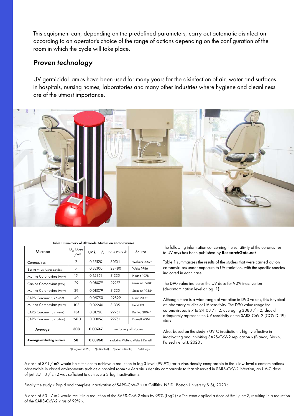This equipment can, depending on the predefined parameters, carry out automatic disinfection according to an operator's choice of the range of actions depending on the configuration of the room in which the cycle will take place.

#### *Proven technology*

UV germicidal lamps have been used for many years for the disinfection of air, water and surfaces in hospitals, nursing homes, laboratories and many other industries where hygiene and cleanliness are of the utmost importance.



| Microbe                                                                                                     | $D_{\rm oo}$ Dose<br>J/m <sup>2</sup> | UV $km^2/J$ | Base Pairs kb                      | Source                     |
|-------------------------------------------------------------------------------------------------------------|---------------------------------------|-------------|------------------------------------|----------------------------|
| Coronavirus                                                                                                 | 7                                     | 0.35120     | 30741                              | Walkers 2007 <sup>°</sup>  |
| Berne virus (Coronaviridae)                                                                                 | 7                                     | 0.32100     | 28480                              | <b>Weiss 1986</b>          |
| Murine Coronavirus (MHV)                                                                                    | 15                                    | 0.15351     | 31335                              | Hirano 1978                |
| Canine Coronavirus (CCV)                                                                                    | 29                                    | 0.08079     | 29278                              | Saknimit 1988 <sup>b</sup> |
| Murine Coronavirus (MHV)                                                                                    | 29                                    | 0.08079     | 31335                              | Saknimit 1988 <sup>b</sup> |
| <b>SARS Coronavirus CoV-P9</b>                                                                              | 40                                    | 0.05750     | 29829                              | Duan 2003 <sup>c</sup>     |
| Murine Coronavirus (MHV)                                                                                    | 103                                   | 0.02240     | 31335                              | Liu 2003                   |
| <b>SARS Coronavirus (Hanoi)</b>                                                                             | 134                                   | 0.01720     | 29751                              | Kariwa 2004 <sup>d</sup>   |
| <b>SARS Coronavirus (Urbani)</b>                                                                            | 2410                                  | 0.00096     | 29751                              | Darnell 2004               |
| Average                                                                                                     | 308                                   | 0.00747     | including all studies              |                            |
| Average excluding outliers                                                                                  | 58                                    | 0.03960     | excluding Walkers, Weiss & Darnell |                            |
| $d$ (at 3 logs)<br><sup>b</sup> (estimated)<br><sup>o</sup> (J ingwen 2020)<br><sup>c</sup> (mean estimate) |                                       |             |                                    |                            |

#### Table 1: Summary of Ultraviolet Studies on Coronaviruses

The following information concerning the sensitivity of the coronavirus to UV rays has been published by ResearchGate.net

Table 1 summarizes the results of the studies that were carried out on coronaviruses under exposure to UV radiation, with the specific species indicated in each case.

The D90 value indicates the UV dose for 90% inactivation (decontamination level at log\_1).

Although there is a wide range of variation in D90 values, this is typical of laboratory studies of UV sensitivity. The D90 value range for coronaviruses is 7 to 2410 J / m2, averaging 308 J / m2, should adequately represent the UV sensitivity of the SARS-CoV-2 (COVID-19) virus.

Also, based on the study « UV-C irradiation is highly effective in inactivating and inhibiting SARS-CoV-2 replication » (Bianco, Biasin, Pareschi et al.), 2020 :

A dose of 37 J / m2 would be sufficient to achieve a reduction to log 3 level (99.9%) for a virus density comparable to the « low-level » contaminations observable in closed environments such as a hospital room : « At a virus density comparable to that observed in SARS-CoV-2 infection, an UV-C dose of just 3.7 mJ / cm2 was sufficient to achieve a 3-log inactivation ».

Finally the study « Rapid and complete inactivation of SARS-CoV-2 » (A Griffiths, NEIDL Boston University & S), 2020 :

A dose of 50 J / m2 would result in a reduction of the SARS-CoV-2 virus by 99% (Log2) : « The team applied a dose of 5mJ / cm2, resulting in a reduction of the SARS-CoV-2 virus of 99% ».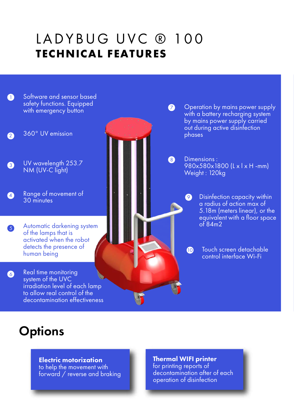### LADYBUG UVC ® 100 **TECHNICAL FEATURES**



### **Options**

Electric motorization to help the movement with forward / reverse and braking Thermal WIFI printer for printing reports of decontamination after of each operation of disinfection